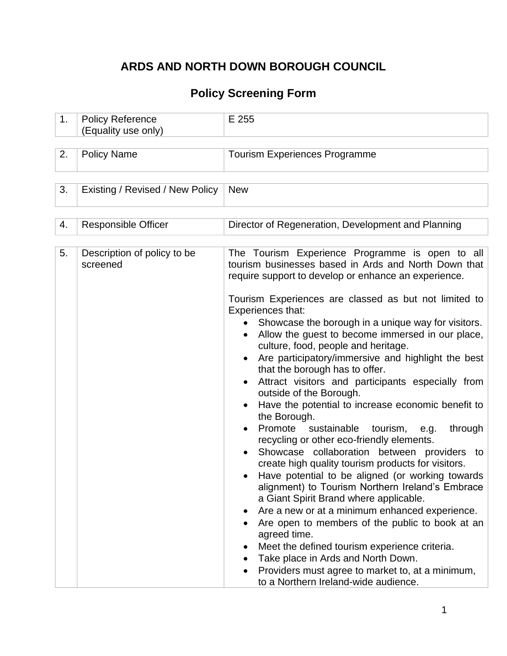# **ARDS AND NORTH DOWN BOROUGH COUNCIL**

## **Policy Screening Form**

| 1. | <b>Policy Reference</b>                 | E 255                                                                                                                                                                                                                                                                                                                                                                                                                                                                                                                                                                                                                                                                                                                                                                                                                                                                                                                                                                                                                                                                                                                                          |
|----|-----------------------------------------|------------------------------------------------------------------------------------------------------------------------------------------------------------------------------------------------------------------------------------------------------------------------------------------------------------------------------------------------------------------------------------------------------------------------------------------------------------------------------------------------------------------------------------------------------------------------------------------------------------------------------------------------------------------------------------------------------------------------------------------------------------------------------------------------------------------------------------------------------------------------------------------------------------------------------------------------------------------------------------------------------------------------------------------------------------------------------------------------------------------------------------------------|
|    | (Equality use only)                     |                                                                                                                                                                                                                                                                                                                                                                                                                                                                                                                                                                                                                                                                                                                                                                                                                                                                                                                                                                                                                                                                                                                                                |
|    |                                         |                                                                                                                                                                                                                                                                                                                                                                                                                                                                                                                                                                                                                                                                                                                                                                                                                                                                                                                                                                                                                                                                                                                                                |
| 2. | <b>Policy Name</b>                      | <b>Tourism Experiences Programme</b>                                                                                                                                                                                                                                                                                                                                                                                                                                                                                                                                                                                                                                                                                                                                                                                                                                                                                                                                                                                                                                                                                                           |
|    |                                         |                                                                                                                                                                                                                                                                                                                                                                                                                                                                                                                                                                                                                                                                                                                                                                                                                                                                                                                                                                                                                                                                                                                                                |
|    |                                         |                                                                                                                                                                                                                                                                                                                                                                                                                                                                                                                                                                                                                                                                                                                                                                                                                                                                                                                                                                                                                                                                                                                                                |
|    |                                         |                                                                                                                                                                                                                                                                                                                                                                                                                                                                                                                                                                                                                                                                                                                                                                                                                                                                                                                                                                                                                                                                                                                                                |
| 3. | Existing / Revised / New Policy         | <b>New</b>                                                                                                                                                                                                                                                                                                                                                                                                                                                                                                                                                                                                                                                                                                                                                                                                                                                                                                                                                                                                                                                                                                                                     |
|    |                                         |                                                                                                                                                                                                                                                                                                                                                                                                                                                                                                                                                                                                                                                                                                                                                                                                                                                                                                                                                                                                                                                                                                                                                |
|    |                                         |                                                                                                                                                                                                                                                                                                                                                                                                                                                                                                                                                                                                                                                                                                                                                                                                                                                                                                                                                                                                                                                                                                                                                |
|    |                                         |                                                                                                                                                                                                                                                                                                                                                                                                                                                                                                                                                                                                                                                                                                                                                                                                                                                                                                                                                                                                                                                                                                                                                |
| 4. | <b>Responsible Officer</b>              | Director of Regeneration, Development and Planning                                                                                                                                                                                                                                                                                                                                                                                                                                                                                                                                                                                                                                                                                                                                                                                                                                                                                                                                                                                                                                                                                             |
|    |                                         |                                                                                                                                                                                                                                                                                                                                                                                                                                                                                                                                                                                                                                                                                                                                                                                                                                                                                                                                                                                                                                                                                                                                                |
| 5. | Description of policy to be<br>screened | The Tourism Experience Programme is open to all<br>tourism businesses based in Ards and North Down that<br>require support to develop or enhance an experience.                                                                                                                                                                                                                                                                                                                                                                                                                                                                                                                                                                                                                                                                                                                                                                                                                                                                                                                                                                                |
|    |                                         | Tourism Experiences are classed as but not limited to<br>Experiences that:<br>Showcase the borough in a unique way for visitors.<br>Allow the guest to become immersed in our place,<br>culture, food, people and heritage.<br>Are participatory/immersive and highlight the best<br>that the borough has to offer.<br>Attract visitors and participants especially from<br>outside of the Borough.<br>Have the potential to increase economic benefit to<br>the Borough.<br>Promote<br>sustainable<br>through<br>tourism,<br>e.g.<br>recycling or other eco-friendly elements.<br>Showcase collaboration between providers to<br>create high quality tourism products for visitors.<br>Have potential to be aligned (or working towards<br>alignment) to Tourism Northern Ireland's Embrace<br>a Giant Spirit Brand where applicable.<br>Are a new or at a minimum enhanced experience.<br>Are open to members of the public to book at an<br>agreed time.<br>Meet the defined tourism experience criteria.<br>Take place in Ards and North Down.<br>Providers must agree to market to, at a minimum,<br>to a Northern Ireland-wide audience. |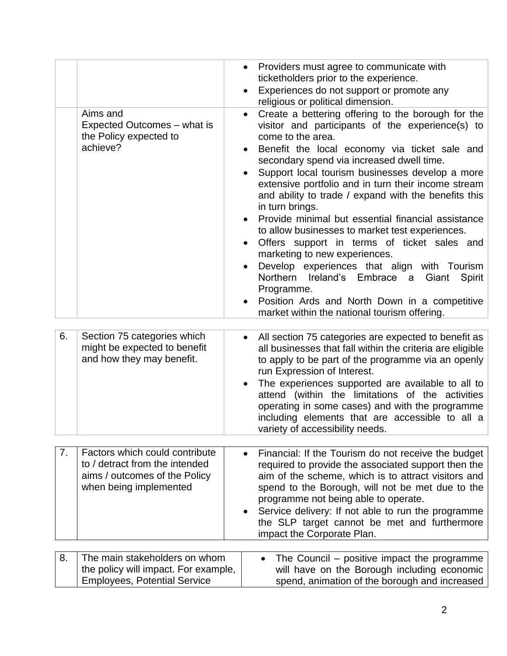|    | Aims and<br>Expected Outcomes – what is<br>the Policy expected to<br>achieve?                                               | Providers must agree to communicate with<br>ticketholders prior to the experience.<br>Experiences do not support or promote any<br>$\bullet$<br>religious or political dimension.<br>Create a bettering offering to the borough for the<br>$\bullet$<br>visitor and participants of the experience(s) to<br>come to the area.<br>Benefit the local economy via ticket sale and<br>$\bullet$<br>secondary spend via increased dwell time.<br>Support local tourism businesses develop a more<br>extensive portfolio and in turn their income stream<br>and ability to trade / expand with the benefits this<br>in turn brings.<br>Provide minimal but essential financial assistance<br>to allow businesses to market test experiences.<br>Offers support in terms of ticket sales and<br>marketing to new experiences.<br>Develop experiences that align with Tourism<br>Northern Ireland's Embrace<br>Giant<br>Spirit<br>a<br>Programme.<br>Position Ards and North Down in a competitive<br>market within the national tourism offering. |
|----|-----------------------------------------------------------------------------------------------------------------------------|--------------------------------------------------------------------------------------------------------------------------------------------------------------------------------------------------------------------------------------------------------------------------------------------------------------------------------------------------------------------------------------------------------------------------------------------------------------------------------------------------------------------------------------------------------------------------------------------------------------------------------------------------------------------------------------------------------------------------------------------------------------------------------------------------------------------------------------------------------------------------------------------------------------------------------------------------------------------------------------------------------------------------------------------|
| 6. | Section 75 categories which<br>might be expected to benefit<br>and how they may benefit.                                    | All section 75 categories are expected to benefit as<br>$\bullet$<br>all businesses that fall within the criteria are eligible<br>to apply to be part of the programme via an openly<br>run Expression of Interest.<br>The experiences supported are available to all to<br>attend (within the limitations of the activities<br>operating in some cases) and with the programme<br>including elements that are accessible to all a<br>variety of accessibility needs.                                                                                                                                                                                                                                                                                                                                                                                                                                                                                                                                                                      |
| 7. | Factors which could contribute<br>to / detract from the intended<br>aims / outcomes of the Policy<br>when being implemented | Financial: If the Tourism do not receive the budget<br>$\bullet$<br>required to provide the associated support then the<br>aim of the scheme, which is to attract visitors and<br>spend to the Borough, will not be met due to the<br>programme not being able to operate.<br>Service delivery: If not able to run the programme<br>the SLP target cannot be met and furthermore<br>impact the Corporate Plan.                                                                                                                                                                                                                                                                                                                                                                                                                                                                                                                                                                                                                             |
| 8. | The main stakeholders on whom<br>the policy will impact. For example,<br><b>Employees, Potential Service</b>                | The Council – positive impact the programme<br>will have on the Borough including economic<br>spend, animation of the borough and increased                                                                                                                                                                                                                                                                                                                                                                                                                                                                                                                                                                                                                                                                                                                                                                                                                                                                                                |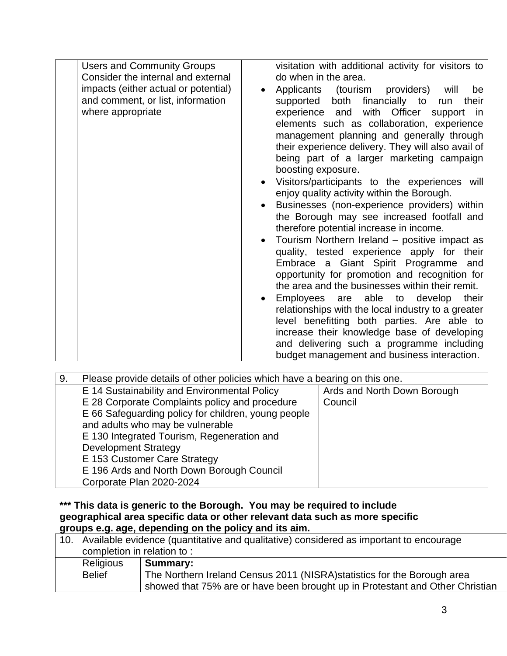| <b>Users and Community Groups</b><br>Consider the internal and external<br>impacts (either actual or potential)<br>and comment, or list, information<br>where appropriate | visitation with additional activity for visitors to<br>do when in the area.<br>(tourism<br>providers)<br>Applicants<br>will<br>be<br>both financially to<br>supported<br>their<br>run<br>experience and with Officer<br>support<br>in<br>elements such as collaboration, experience<br>management planning and generally through<br>their experience delivery. They will also avail of<br>being part of a larger marketing campaign<br>boosting exposure.<br>Visitors/participants to the experiences will<br>enjoy quality activity within the Borough.<br>Businesses (non-experience providers) within<br>the Borough may see increased footfall and<br>therefore potential increase in income.<br>Tourism Northern Ireland – positive impact as<br>quality, tested experience apply for their<br>Embrace a Giant Spirit Programme and<br>opportunity for promotion and recognition for<br>the area and the businesses within their remit.<br>Employees are able to develop<br>their<br>relationships with the local industry to a greater<br>level benefitting both parties. Are able to<br>increase their knowledge base of developing |
|---------------------------------------------------------------------------------------------------------------------------------------------------------------------------|--------------------------------------------------------------------------------------------------------------------------------------------------------------------------------------------------------------------------------------------------------------------------------------------------------------------------------------------------------------------------------------------------------------------------------------------------------------------------------------------------------------------------------------------------------------------------------------------------------------------------------------------------------------------------------------------------------------------------------------------------------------------------------------------------------------------------------------------------------------------------------------------------------------------------------------------------------------------------------------------------------------------------------------------------------------------------------------------------------------------------------------------|
|                                                                                                                                                                           | and delivering such a programme including<br>budget management and business interaction.                                                                                                                                                                                                                                                                                                                                                                                                                                                                                                                                                                                                                                                                                                                                                                                                                                                                                                                                                                                                                                                   |

| 9. | Please provide details of other policies which have a bearing on this one. |                             |  |  |  |  |  |
|----|----------------------------------------------------------------------------|-----------------------------|--|--|--|--|--|
|    | E 14 Sustainability and Environmental Policy                               | Ards and North Down Borough |  |  |  |  |  |
|    | E 28 Corporate Complaints policy and procedure                             | Council                     |  |  |  |  |  |
|    | E 66 Safeguarding policy for children, young people                        |                             |  |  |  |  |  |
|    | and adults who may be vulnerable                                           |                             |  |  |  |  |  |
|    | E 130 Integrated Tourism, Regeneration and                                 |                             |  |  |  |  |  |
|    | <b>Development Strategy</b>                                                |                             |  |  |  |  |  |
|    | E 153 Customer Care Strategy                                               |                             |  |  |  |  |  |
|    | E 196 Ards and North Down Borough Council                                  |                             |  |  |  |  |  |
|    | Corporate Plan 2020-2024                                                   |                             |  |  |  |  |  |

**\*\*\* This data is generic to the Borough. You may be required to include geographical area specific data or other relevant data such as more specific groups e.g. age, depending on the policy and its aim.**

| 10.1 | Available evidence (quantitative and qualitative) considered as important to encourage<br>completion in relation to: |                                                                                                                                                                       |  |  |  |  |  |
|------|----------------------------------------------------------------------------------------------------------------------|-----------------------------------------------------------------------------------------------------------------------------------------------------------------------|--|--|--|--|--|
|      | Religious<br><b>Belief</b>                                                                                           | Summary:<br>The Northern Ireland Census 2011 (NISRA) statistics for the Borough area<br>showed that 75% are or have been brought up in Protestant and Other Christian |  |  |  |  |  |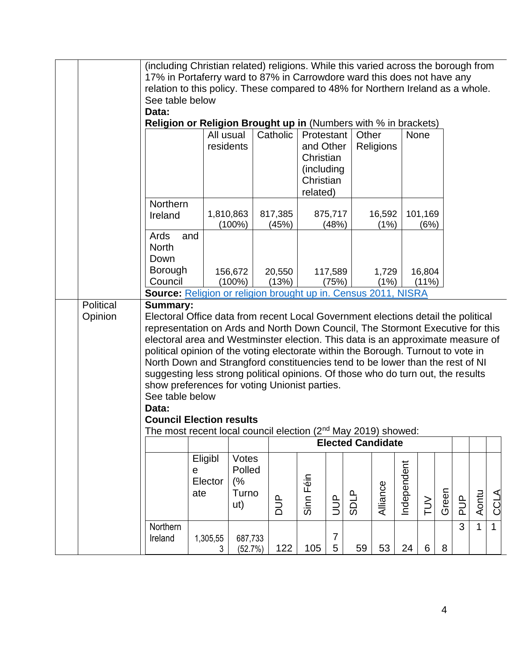|           | (including Christian related) religions. While this varied across the borough from |               |                    |            |            |                |                          |           |             |                 |       |                |             |              |
|-----------|------------------------------------------------------------------------------------|---------------|--------------------|------------|------------|----------------|--------------------------|-----------|-------------|-----------------|-------|----------------|-------------|--------------|
|           | 17% in Portaferry ward to 87% in Carrowdore ward this does not have any            |               |                    |            |            |                |                          |           |             |                 |       |                |             |              |
|           | relation to this policy. These compared to 48% for Northern Ireland as a whole.    |               |                    |            |            |                |                          |           |             |                 |       |                |             |              |
|           | See table below                                                                    |               |                    |            |            |                |                          |           |             |                 |       |                |             |              |
|           | Data:                                                                              |               |                    |            |            |                |                          |           |             |                 |       |                |             |              |
|           | <b>Religion or Religion Brought up in (Numbers with % in brackets)</b>             |               |                    |            |            |                |                          |           |             |                 |       |                |             |              |
|           |                                                                                    | All usual     |                    | Catholic   | Protestant |                | Other                    |           |             | None            |       |                |             |              |
|           |                                                                                    | residents     |                    |            | and Other  |                |                          | Religions |             |                 |       |                |             |              |
|           |                                                                                    |               |                    |            | Christian  |                |                          |           |             |                 |       |                |             |              |
|           |                                                                                    |               |                    |            | (including |                |                          |           |             |                 |       |                |             |              |
|           |                                                                                    |               |                    |            | Christian  |                |                          |           |             |                 |       |                |             |              |
|           |                                                                                    |               |                    |            | related)   |                |                          |           |             |                 |       |                |             |              |
|           | Northern                                                                           |               |                    |            |            |                |                          |           |             |                 |       |                |             |              |
|           | Ireland                                                                            | 1,810,863     |                    | 817,385    |            | 875,717        |                          | 16,592    |             | 101,169         |       |                |             |              |
|           |                                                                                    |               | $(100\%)$          | (45%)      |            | (48%)          |                          | (1%)      |             | (6%)            |       |                |             |              |
|           | Ards<br>and                                                                        |               |                    |            |            |                |                          |           |             |                 |       |                |             |              |
|           | <b>North</b>                                                                       |               |                    |            |            |                |                          |           |             |                 |       |                |             |              |
|           | Down                                                                               |               |                    |            |            |                |                          |           |             |                 |       |                |             |              |
|           | Borough                                                                            |               | 156,672            | 20,550     |            | 117,589        |                          | 1,729     |             | 16,804          |       |                |             |              |
|           | Council                                                                            |               | $(100\%)$          | (13%)      |            | (75%)          |                          | (1%)      |             | $(11\%)$        |       |                |             |              |
|           | Source: Religion or religion brought up in. Census 2011, NISRA                     |               |                    |            |            |                |                          |           |             |                 |       |                |             |              |
| Political | <b>Summary:</b>                                                                    |               |                    |            |            |                |                          |           |             |                 |       |                |             |              |
| Opinion   | Electoral Office data from recent Local Government elections detail the political  |               |                    |            |            |                |                          |           |             |                 |       |                |             |              |
|           | representation on Ards and North Down Council, The Stormont Executive for this     |               |                    |            |            |                |                          |           |             |                 |       |                |             |              |
|           | electoral area and Westminster election. This data is an approximate measure of    |               |                    |            |            |                |                          |           |             |                 |       |                |             |              |
|           | political opinion of the voting electorate within the Borough. Turnout to vote in  |               |                    |            |            |                |                          |           |             |                 |       |                |             |              |
|           | North Down and Strangford constituencies tend to be lower than the rest of NI      |               |                    |            |            |                |                          |           |             |                 |       |                |             |              |
|           | suggesting less strong political opinions. Of those who do turn out, the results   |               |                    |            |            |                |                          |           |             |                 |       |                |             |              |
|           | show preferences for voting Unionist parties.                                      |               |                    |            |            |                |                          |           |             |                 |       |                |             |              |
|           | See table below                                                                    |               |                    |            |            |                |                          |           |             |                 |       |                |             |              |
|           | Data:                                                                              |               |                    |            |            |                |                          |           |             |                 |       |                |             |              |
|           | <b>Council Election results</b>                                                    |               |                    |            |            |                |                          |           |             |                 |       |                |             |              |
|           | The most recent local council election (2 <sup>nd</sup> May 2019) showed:          |               |                    |            |            |                | <b>Elected Candidate</b> |           |             |                 |       |                |             |              |
|           |                                                                                    |               |                    |            |            |                |                          |           |             |                 |       |                |             |              |
|           |                                                                                    | Eligibl       | Votes              |            |            |                |                          |           |             |                 |       |                |             |              |
|           | е                                                                                  |               | Polled             |            |            |                |                          |           |             |                 |       |                |             |              |
|           |                                                                                    | Elector       | (%                 |            | Sinn Féin  |                |                          |           | Independent |                 |       |                |             |              |
|           |                                                                                    | ate           | Turno              |            |            |                | <b>SDLP</b>              | Alliance  |             |                 | Green |                | Aontu       | CCLA         |
|           |                                                                                    |               | ut)                | <b>AUD</b> |            | <b>JUP</b>     |                          |           |             | $\geq$          |       | aUq            |             |              |
|           |                                                                                    |               |                    |            |            |                |                          |           |             |                 |       | $\overline{3}$ |             |              |
|           | Northern                                                                           |               |                    |            |            | $\overline{7}$ |                          |           |             |                 |       |                | $\mathbf 1$ | $\mathbf{1}$ |
|           | Ireland                                                                            | 1,305,55<br>3 | 687,733<br>(52.7%) | 122        | 105        | $\overline{5}$ | 59                       | 53        | 24          | $6\overline{6}$ | 8     |                |             |              |
|           |                                                                                    |               |                    |            |            |                |                          |           |             |                 |       |                |             |              |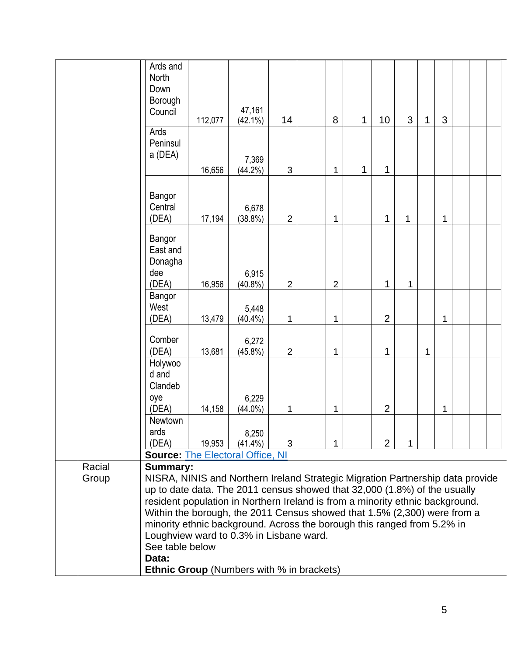|                 | Ards and<br>North<br>Down<br>Borough<br>Council                                                   | 112,077                                          | 47,161<br>$(42.1\%)$ | 14             |  | 8              | 1 | 10             | 3 | 1 | 3 |  |  |
|-----------------|---------------------------------------------------------------------------------------------------|--------------------------------------------------|----------------------|----------------|--|----------------|---|----------------|---|---|---|--|--|
|                 | Ards<br>Peninsul<br>a (DEA)                                                                       | 16,656                                           | 7,369<br>$(44.2\%)$  | 3              |  | 1              | 1 | 1              |   |   |   |  |  |
|                 | Bangor<br>Central<br>(DEA)                                                                        | 17,194                                           | 6,678<br>$(38.8\%)$  | $\overline{2}$ |  | 1              |   | 1              | 1 |   | 1 |  |  |
|                 | Bangor<br>East and<br>Donagha<br>dee<br>(DEA)                                                     | 16,956                                           | 6,915<br>$(40.8\%)$  | $\overline{2}$ |  | $\overline{2}$ |   | $\mathbf{1}$   | 1 |   |   |  |  |
|                 | Bangor<br>West<br>(DEA)                                                                           | 13,479                                           | 5,448<br>$(40.4\%)$  | 1              |  | 1              |   | $\overline{2}$ |   |   | 1 |  |  |
|                 | Comber<br>(DEA)                                                                                   | 13,681                                           | 6,272<br>$(45.8\%)$  | $\overline{2}$ |  | 1              |   | 1              |   | 1 |   |  |  |
|                 | Holywoo<br>d and<br>Clandeb<br>oye<br>(DEA)                                                       | 14,158                                           | 6,229<br>$(44.0\%)$  | 1              |  | 1              |   | $\overline{2}$ |   |   | 1 |  |  |
|                 | Newtown<br>ards<br>(DEA)                                                                          | 19,953                                           | 8,250<br>$(41.4\%)$  | 3              |  | 1              |   | $\overline{2}$ | 1 |   |   |  |  |
|                 | <b>Source: The Electoral Office, NI</b>                                                           |                                                  |                      |                |  |                |   |                |   |   |   |  |  |
| Racial<br>Group | <b>Summary:</b><br>NISRA, NINIS and Northern Ireland Strategic Migration Partnership data provide |                                                  |                      |                |  |                |   |                |   |   |   |  |  |
|                 | up to date data. The 2011 census showed that 32,000 (1.8%) of the usually                         |                                                  |                      |                |  |                |   |                |   |   |   |  |  |
|                 | resident population in Northern Ireland is from a minority ethnic background.                     |                                                  |                      |                |  |                |   |                |   |   |   |  |  |
|                 | Within the borough, the 2011 Census showed that 1.5% (2,300) were from a                          |                                                  |                      |                |  |                |   |                |   |   |   |  |  |
|                 | minority ethnic background. Across the borough this ranged from 5.2% in                           |                                                  |                      |                |  |                |   |                |   |   |   |  |  |
|                 | Loughview ward to 0.3% in Lisbane ward.                                                           |                                                  |                      |                |  |                |   |                |   |   |   |  |  |
|                 | See table below<br>Data:                                                                          |                                                  |                      |                |  |                |   |                |   |   |   |  |  |
|                 |                                                                                                   | <b>Ethnic Group</b> (Numbers with % in brackets) |                      |                |  |                |   |                |   |   |   |  |  |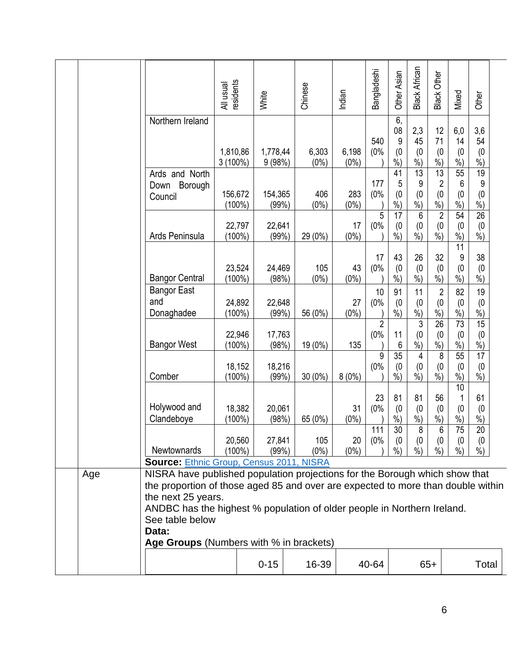|     |                                                                                                                                                                                                                                                                                                                                                                                            | residents<br>All usual | White              | Chinese          | Indian           | Bangladeshi                 | Other Asian                 | <b>Black African</b>                         | Black Other                                               | Mixed                           | Other                                        |
|-----|--------------------------------------------------------------------------------------------------------------------------------------------------------------------------------------------------------------------------------------------------------------------------------------------------------------------------------------------------------------------------------------------|------------------------|--------------------|------------------|------------------|-----------------------------|-----------------------------|----------------------------------------------|-----------------------------------------------------------|---------------------------------|----------------------------------------------|
|     | Northern Ireland                                                                                                                                                                                                                                                                                                                                                                           | 1,810,86<br>$3(100\%)$ | 1,778,44<br>9(98%) | 6,303<br>$(0\%)$ | 6,198<br>$(0\%)$ | 540<br>(0%                  | 6,<br>08<br>9<br>(0)<br>%)  | 2,3<br>45<br>(0)<br>$\frac{0}{0}$            | 12<br>71<br>(0)<br>$\frac{0}{0}$                          | 6,0<br>14<br>(0)<br>%           | 3,6<br>54<br>(0)<br>$\frac{0}{0}$            |
|     | Ards and North<br>Borough<br>Down<br>Council                                                                                                                                                                                                                                                                                                                                               | 156,672<br>$(100\%)$   | 154,365<br>(99%)   | 406<br>$(0\%)$   | 283<br>$(0\%)$   | 177<br>(0%                  | 41<br>5<br>(0)<br>$%$ )     | $\overline{13}$<br>9<br>(0)<br>$%$ )         | $\overline{13}$<br>$\overline{c}$<br>(0)<br>$\frac{6}{6}$ | 55<br>6<br>(0)<br>$%$ )         | $\overline{19}$<br>9<br>(0)<br>$\frac{0}{0}$ |
|     | Ards Peninsula                                                                                                                                                                                                                                                                                                                                                                             | 22,797<br>$(100\%)$    | 22,641<br>(99%)    | 29 (0%)          | 17<br>$(0\%)$    | 5<br>(0%                    | 17<br>(0)<br>$\frac{9}{6}$  | 6<br>$^{(0)}_{%}$                            | $\sqrt{2}$<br>$^{(0}_{%)}$                                | 54<br>(0)<br>$\frac{9}{6}$      | $\overline{26}$<br>$^{(0}_{\%)}$             |
|     | <b>Bangor Central</b>                                                                                                                                                                                                                                                                                                                                                                      | 23,524<br>$(100\%)$    | 24,469<br>(98%)    | 105<br>$(0\%)$   | 43<br>$(0\%)$    | 17<br>(0%                   | 43<br>(0)<br>$%$ )          | 26<br>(0)<br>$\dot{\%})$                     | 32<br>(0)<br>$\sqrt{6}$                                   | 11<br>9<br>(0)<br>$\frac{9}{6}$ | 38<br>(0)<br>$\frac{9}{6}$                   |
|     | <b>Bangor East</b><br>and<br>Donaghadee                                                                                                                                                                                                                                                                                                                                                    | 24,892<br>$(100\%)$    | 22,648<br>(99%)    | 56 (0%)          | 27<br>$(0\%)$    | 10<br>(0%<br>$\overline{2}$ | 91<br>(0)<br>$%$ )          | 11<br>(0)<br>$\frac{9}{6}$<br>$\mathfrak{3}$ | $\overline{2}$<br>(0)<br>$%$ )<br>$\overline{26}$         | 82<br>(0)<br>$%$ )<br>73        | 19<br>(0)<br>$\frac{9}{6}$<br>15             |
|     | <b>Bangor West</b>                                                                                                                                                                                                                                                                                                                                                                         | 22,946<br>$(100\%)$    | 17,763<br>(98%)    | 19 (0%)          | 135              | (0%<br>9                    | 11<br>6<br>$\overline{35}$  | (0)<br>$\frac{9}{6}$<br>$\overline{4}$       | (0)<br>$%$ )<br>8                                         | (0)<br>$%$ )<br>55              | (0)<br>$\frac{9}{6}$<br>17                   |
|     | Comber                                                                                                                                                                                                                                                                                                                                                                                     | 18,152<br>$(100\%)$    | 18,216<br>(99%)    | $30(0\%)$        | 8(0%)            | (0%                         | (0)<br>$%$ )                | (0)<br>$%$ )                                 | (0)<br>$%$ )                                              | (0)<br>$%$ )<br>10              | (0)<br>$%$ )                                 |
|     | Holywood and<br>Clandeboye                                                                                                                                                                                                                                                                                                                                                                 | 18,382<br>$(100\%)$    | 20,061<br>(98%)    | 65 (0%)          | 31<br>$(0\%)$    | 23<br>(0%                   | 81<br>(0)<br>$%$ )          | 81<br>(0)<br>$%$ )                           | 56<br>(0)<br>$%$ )                                        | 1<br>(0)<br>$%$ )               | 61<br>(0)<br>$\frac{0}{0}$                   |
|     | Newtownards                                                                                                                                                                                                                                                                                                                                                                                | 20,560<br>$(100\%)$    | 27,841<br>(99%)    | 105<br>$(0\%)$   | 20<br>$(0\%)$    | 111<br>(0%                  | $\overline{30}$<br>(0)<br>% | 8<br>(0)<br>$%$ )                            | ь<br>(0)<br>$%$ )                                         | 75<br>(0)<br>%                  | $\overline{20}$<br>(0)<br>$%$ )              |
| Age | <b>Source: Ethnic Group, Census 2011, NISRA</b><br>NISRA have published population projections for the Borough which show that<br>the proportion of those aged 85 and over are expected to more than double within<br>the next 25 years.<br>ANDBC has the highest % population of older people in Northern Ireland.<br>See table below<br>Data:<br>Age Groups (Numbers with % in brackets) |                        |                    |                  |                  |                             |                             |                                              |                                                           |                                 |                                              |
|     |                                                                                                                                                                                                                                                                                                                                                                                            |                        | $0 - 15$           | 16-39            |                  | 40-64                       |                             |                                              | $65+$                                                     |                                 | Total                                        |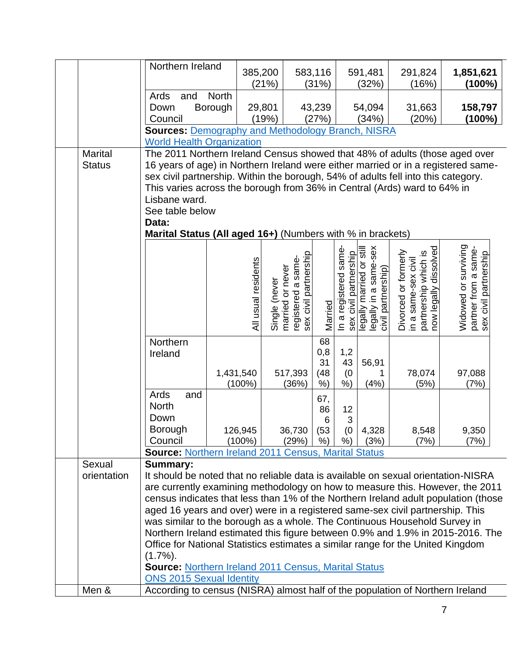|                | Northern Ireland                                                                          | 385,200                                                     |               |                                                                 | 583,116               |                       | 591,481   | 291,824                                                               | 1,851,621                                                             |  |
|----------------|-------------------------------------------------------------------------------------------|-------------------------------------------------------------|---------------|-----------------------------------------------------------------|-----------------------|-----------------------|-----------|-----------------------------------------------------------------------|-----------------------------------------------------------------------|--|
|                |                                                                                           |                                                             | (21%)         |                                                                 | (31%)                 |                       | (32%)     | (16%)                                                                 | $(100\%)$                                                             |  |
|                | Ards<br>and                                                                               | <b>North</b>                                                |               |                                                                 |                       |                       |           |                                                                       |                                                                       |  |
|                | Down<br>Borough                                                                           |                                                             | 29,801        |                                                                 | 43,239                |                       | 54,094    | 31,663                                                                | 158,797                                                               |  |
|                | Council                                                                                   |                                                             | (19%)         |                                                                 | (27%)                 |                       | (34%)     | (20%)                                                                 | (100%)                                                                |  |
|                |                                                                                           | <b>Sources: Demography and Methodology Branch, NISRA</b>    |               |                                                                 |                       |                       |           |                                                                       |                                                                       |  |
|                | <b>World Health Organization</b>                                                          |                                                             |               |                                                                 |                       |                       |           |                                                                       |                                                                       |  |
| <b>Marital</b> | The 2011 Northern Ireland Census showed that 48% of adults (those aged over               |                                                             |               |                                                                 |                       |                       |           |                                                                       |                                                                       |  |
| <b>Status</b>  | 16 years of age) in Northern Ireland were either married or in a registered same-         |                                                             |               |                                                                 |                       |                       |           |                                                                       |                                                                       |  |
|                | sex civil partnership. Within the borough, 54% of adults fell into this category.         |                                                             |               |                                                                 |                       |                       |           |                                                                       |                                                                       |  |
|                | This varies across the borough from 36% in Central (Ards) ward to 64% in<br>Lisbane ward. |                                                             |               |                                                                 |                       |                       |           |                                                                       |                                                                       |  |
|                | See table below                                                                           |                                                             |               |                                                                 |                       |                       |           |                                                                       |                                                                       |  |
|                | Data:                                                                                     |                                                             |               |                                                                 |                       |                       |           |                                                                       |                                                                       |  |
|                | Marital Status (All aged 16+) (Numbers with % in brackets)                                |                                                             |               |                                                                 |                       |                       |           |                                                                       |                                                                       |  |
|                |                                                                                           |                                                             |               |                                                                 |                       |                       |           |                                                                       |                                                                       |  |
|                |                                                                                           |                                                             |               |                                                                 |                       | In a registered same- |           | partnership which is<br>now legally dissolved<br>Divorced or formerly | Widowed or surviving<br>partner from a same-<br>sex civil partnership |  |
|                |                                                                                           | All usual residents                                         |               | sex civil partnership<br>married or never<br>registered a same- |                       | sex civil partnership |           | in a same-sex civil                                                   |                                                                       |  |
|                |                                                                                           |                                                             |               |                                                                 |                       |                       |           |                                                                       |                                                                       |  |
|                |                                                                                           |                                                             |               |                                                                 |                       |                       |           |                                                                       |                                                                       |  |
|                |                                                                                           |                                                             | Single (never |                                                                 |                       |                       |           |                                                                       |                                                                       |  |
|                |                                                                                           |                                                             |               |                                                                 | Married               |                       |           |                                                                       |                                                                       |  |
|                |                                                                                           |                                                             |               |                                                                 |                       |                       |           |                                                                       |                                                                       |  |
|                | Northern                                                                                  |                                                             |               |                                                                 | 68                    |                       |           |                                                                       |                                                                       |  |
|                | Ireland                                                                                   |                                                             |               |                                                                 | 0,8                   | 1,2                   |           |                                                                       |                                                                       |  |
|                |                                                                                           |                                                             |               |                                                                 | 31                    | 43                    | 56,91     |                                                                       |                                                                       |  |
|                |                                                                                           | 1,431,540                                                   |               | 517,393                                                         | (48)                  | (0)                   | 1<br>(4%) | 78,074<br>(5%)                                                        | 97,088                                                                |  |
|                | Ards<br>and                                                                               | $(100\%)$                                                   |               | (36%)                                                           | $%$ )                 | $%$ )                 |           |                                                                       | (7%)                                                                  |  |
|                | <b>North</b>                                                                              |                                                             |               |                                                                 | 67,                   |                       |           |                                                                       |                                                                       |  |
|                | Down                                                                                      |                                                             |               |                                                                 | 86<br>$6\phantom{1}6$ | 12<br>3               |           |                                                                       |                                                                       |  |
|                | Borough                                                                                   | 126,945                                                     |               | 36,730                                                          | (53                   | (0)                   | 4,328     | 8,548                                                                 | 9,350                                                                 |  |
|                | Council                                                                                   | $(100\%)$                                                   |               | (29%)                                                           | %)                    | %)                    | (3%)      | (7%)                                                                  | (7%)                                                                  |  |
|                | <b>Source: Northern Ireland 2011 Census, Marital Status</b>                               |                                                             |               |                                                                 |                       |                       |           |                                                                       |                                                                       |  |
| Sexual         | <b>Summary:</b>                                                                           |                                                             |               |                                                                 |                       |                       |           |                                                                       |                                                                       |  |
| orientation    | It should be noted that no reliable data is available on sexual orientation-NISRA         |                                                             |               |                                                                 |                       |                       |           |                                                                       |                                                                       |  |
|                | are currently examining methodology on how to measure this. However, the 2011             |                                                             |               |                                                                 |                       |                       |           |                                                                       |                                                                       |  |
|                | census indicates that less than 1% of the Northern Ireland adult population (those        |                                                             |               |                                                                 |                       |                       |           |                                                                       |                                                                       |  |
|                | aged 16 years and over) were in a registered same-sex civil partnership. This             |                                                             |               |                                                                 |                       |                       |           |                                                                       |                                                                       |  |
|                | was similar to the borough as a whole. The Continuous Household Survey in                 |                                                             |               |                                                                 |                       |                       |           |                                                                       |                                                                       |  |
|                | Northern Ireland estimated this figure between 0.9% and 1.9% in 2015-2016. The            |                                                             |               |                                                                 |                       |                       |           |                                                                       |                                                                       |  |
|                | Office for National Statistics estimates a similar range for the United Kingdom           |                                                             |               |                                                                 |                       |                       |           |                                                                       |                                                                       |  |
|                | $(1.7\%)$ .                                                                               |                                                             |               |                                                                 |                       |                       |           |                                                                       |                                                                       |  |
|                |                                                                                           | <b>Source: Northern Ireland 2011 Census, Marital Status</b> |               |                                                                 |                       |                       |           |                                                                       |                                                                       |  |
|                | <b>ONS 2015 Sexual Identity</b>                                                           |                                                             |               |                                                                 |                       |                       |           |                                                                       |                                                                       |  |
| Men &          | According to census (NISRA) almost half of the population of Northern Ireland             |                                                             |               |                                                                 |                       |                       |           |                                                                       |                                                                       |  |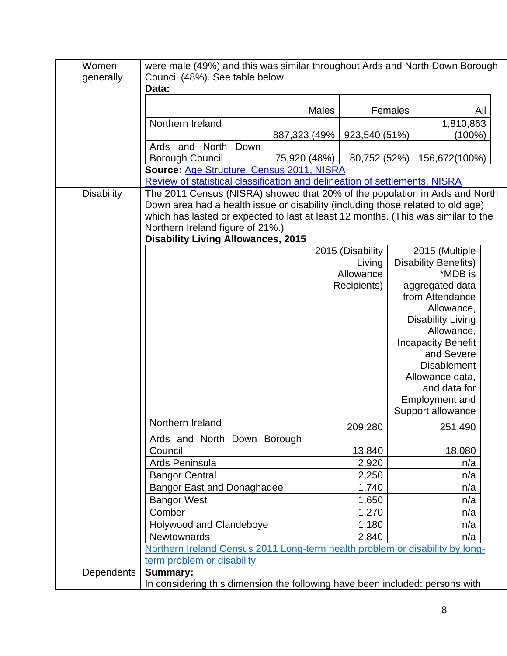| Women             | were male (49%) and this was similar throughout Ards and North Down Borough       |              |              |                  |  |                                       |     |
|-------------------|-----------------------------------------------------------------------------------|--------------|--------------|------------------|--|---------------------------------------|-----|
| generally         | Council (48%). See table below<br>Data:                                           |              |              |                  |  |                                       |     |
|                   |                                                                                   |              |              |                  |  |                                       |     |
|                   |                                                                                   |              | <b>Males</b> | Females          |  |                                       | All |
|                   | Northern Ireland                                                                  |              |              |                  |  | 1,810,863                             |     |
|                   |                                                                                   | 887,323 (49% |              | 923,540 (51%)    |  | $(100\%)$                             |     |
|                   | Ards and North<br>Down<br><b>Borough Council</b>                                  | 75,920 (48%) |              | 80,752 (52%)     |  | 156,672(100%)                         |     |
|                   | Source: Age Structure, Census 2011, NISRA                                         |              |              |                  |  |                                       |     |
|                   | Review of statistical classification and delineation of settlements, NISRA        |              |              |                  |  |                                       |     |
| <b>Disability</b> | The 2011 Census (NISRA) showed that 20% of the population in Ards and North       |              |              |                  |  |                                       |     |
|                   | Down area had a health issue or disability (including those related to old age)   |              |              |                  |  |                                       |     |
|                   | which has lasted or expected to last at least 12 months. (This was similar to the |              |              |                  |  |                                       |     |
|                   | Northern Ireland figure of 21%.)                                                  |              |              |                  |  |                                       |     |
|                   | <b>Disability Living Allowances, 2015</b>                                         |              |              | 2015 (Disability |  | 2015 (Multiple                        |     |
|                   |                                                                                   |              |              | Living           |  | <b>Disability Benefits)</b>           |     |
|                   |                                                                                   |              |              | Allowance        |  | *MDB is                               |     |
|                   |                                                                                   |              |              | Recipients)      |  | aggregated data                       |     |
|                   |                                                                                   |              |              |                  |  | from Attendance                       |     |
|                   |                                                                                   |              |              |                  |  | Allowance,                            |     |
|                   |                                                                                   |              |              |                  |  | <b>Disability Living</b>              |     |
|                   |                                                                                   |              |              |                  |  | Allowance,                            |     |
|                   |                                                                                   |              |              |                  |  | <b>Incapacity Benefit</b>             |     |
|                   |                                                                                   |              |              |                  |  | and Severe                            |     |
|                   |                                                                                   |              |              |                  |  | <b>Disablement</b><br>Allowance data, |     |
|                   |                                                                                   |              |              |                  |  | and data for                          |     |
|                   |                                                                                   |              |              |                  |  | <b>Employment and</b>                 |     |
|                   |                                                                                   |              |              |                  |  | Support allowance                     |     |
|                   | Northern Ireland                                                                  |              |              | 209,280          |  | 251,490                               |     |
|                   | Ards and North Down Borough                                                       |              |              |                  |  |                                       |     |
|                   | Council                                                                           |              |              | 13,840           |  | 18,080                                |     |
|                   | Ards Peninsula                                                                    |              |              | 2,920            |  | n/a                                   |     |
|                   | <b>Bangor Central</b>                                                             |              |              | 2,250            |  | n/a                                   |     |
|                   | <b>Bangor East and Donaghadee</b>                                                 |              |              | 1,740            |  | n/a                                   |     |
|                   | <b>Bangor West</b>                                                                |              |              | 1,650            |  | n/a                                   |     |
|                   | Comber                                                                            |              |              | 1,270            |  | n/a                                   |     |
|                   | Holywood and Clandeboye                                                           |              |              | 1,180            |  | n/a                                   |     |
|                   | Newtownards                                                                       |              |              | 2,840            |  | n/a                                   |     |
|                   | Northern Ireland Census 2011 Long-term health problem or disability by long-      |              |              |                  |  |                                       |     |
| <b>Dependents</b> | term problem or disability<br><b>Summary:</b>                                     |              |              |                  |  |                                       |     |
|                   | In considering this dimension the following have been included: persons with      |              |              |                  |  |                                       |     |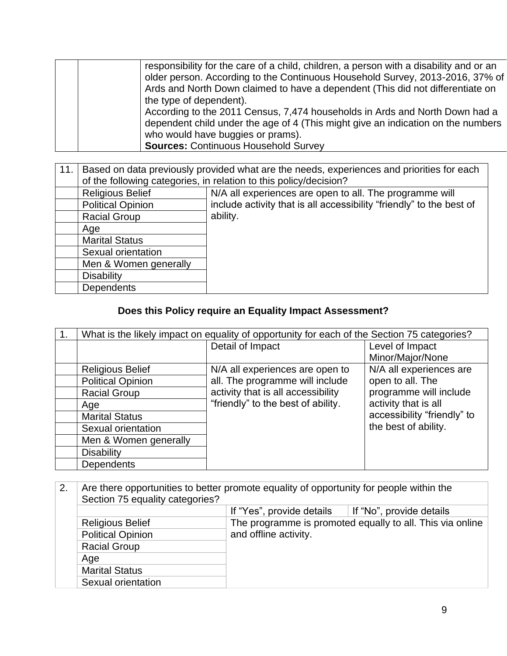| responsibility for the care of a child, children, a person with a disability and or an |
|----------------------------------------------------------------------------------------|
| older person. According to the Continuous Household Survey, 2013-2016, 37% of          |
| Ards and North Down claimed to have a dependent (This did not differentiate on         |
| the type of dependent).                                                                |
| According to the 2011 Census, 7,474 households in Ards and North Down had a            |
| dependent child under the age of 4 (This might give an indication on the numbers       |
| who would have buggies or prams).                                                      |
| <b>Sources: Continuous Household Survey</b>                                            |
|                                                                                        |

| 11. | Based on data previously provided what are the needs, experiences and priorities for each<br>of the following categories, in relation to this policy/decision? |                                                                      |  |  |  |  |  |  |  |
|-----|----------------------------------------------------------------------------------------------------------------------------------------------------------------|----------------------------------------------------------------------|--|--|--|--|--|--|--|
|     | <b>Religious Belief</b>                                                                                                                                        | N/A all experiences are open to all. The programme will              |  |  |  |  |  |  |  |
|     | <b>Political Opinion</b>                                                                                                                                       | include activity that is all accessibility "friendly" to the best of |  |  |  |  |  |  |  |
|     | <b>Racial Group</b>                                                                                                                                            | ability.                                                             |  |  |  |  |  |  |  |
|     | Age                                                                                                                                                            |                                                                      |  |  |  |  |  |  |  |
|     | <b>Marital Status</b>                                                                                                                                          |                                                                      |  |  |  |  |  |  |  |
|     | Sexual orientation                                                                                                                                             |                                                                      |  |  |  |  |  |  |  |
|     | Men & Women generally                                                                                                                                          |                                                                      |  |  |  |  |  |  |  |
|     | <b>Disability</b>                                                                                                                                              |                                                                      |  |  |  |  |  |  |  |
|     | <b>Dependents</b>                                                                                                                                              |                                                                      |  |  |  |  |  |  |  |

## **Does this Policy require an Equality Impact Assessment?**

| $\mathbf{1}$ . | What is the likely impact on equality of opportunity for each of the Section 75 categories? |                                    |                             |  |
|----------------|---------------------------------------------------------------------------------------------|------------------------------------|-----------------------------|--|
|                |                                                                                             | Detail of Impact                   | Level of Impact             |  |
|                |                                                                                             |                                    | Minor/Major/None            |  |
|                | <b>Religious Belief</b>                                                                     | N/A all experiences are open to    | N/A all experiences are     |  |
|                | <b>Political Opinion</b>                                                                    | all. The programme will include    | open to all. The            |  |
|                | <b>Racial Group</b>                                                                         | activity that is all accessibility | programme will include      |  |
|                | Age                                                                                         | "friendly" to the best of ability. | activity that is all        |  |
|                | <b>Marital Status</b>                                                                       |                                    | accessibility "friendly" to |  |
|                | Sexual orientation                                                                          |                                    | the best of ability.        |  |
|                | Men & Women generally                                                                       |                                    |                             |  |
|                | <b>Disability</b>                                                                           |                                    |                             |  |
|                | <b>Dependents</b>                                                                           |                                    |                             |  |

| 2.<br>Are there opportunities to better promote equality of opportunity for people within the<br>Section 75 equality categories? |                          |                                                           |                          |
|----------------------------------------------------------------------------------------------------------------------------------|--------------------------|-----------------------------------------------------------|--------------------------|
|                                                                                                                                  |                          | If "Yes", provide details                                 | If "No", provide details |
|                                                                                                                                  | <b>Religious Belief</b>  | The programme is promoted equally to all. This via online |                          |
|                                                                                                                                  | <b>Political Opinion</b> | and offline activity.                                     |                          |
|                                                                                                                                  | <b>Racial Group</b>      |                                                           |                          |
|                                                                                                                                  | Age                      |                                                           |                          |
|                                                                                                                                  | <b>Marital Status</b>    |                                                           |                          |
|                                                                                                                                  | Sexual orientation       |                                                           |                          |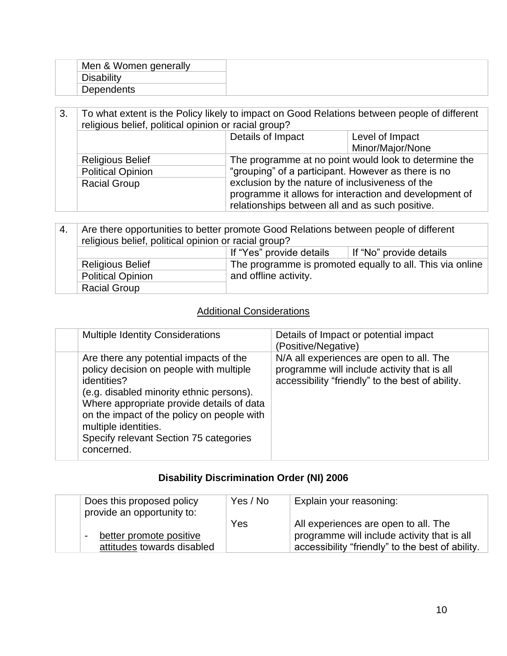| Men & Women generally |  |
|-----------------------|--|
|                       |  |
| Dependents            |  |

| 3. | To what extent is the Policy likely to impact on Good Relations between people of different<br>religious belief, political opinion or racial group? |                                                       |                                                        |
|----|-----------------------------------------------------------------------------------------------------------------------------------------------------|-------------------------------------------------------|--------------------------------------------------------|
|    |                                                                                                                                                     | Details of Impact                                     | Level of Impact                                        |
|    |                                                                                                                                                     |                                                       | Minor/Major/None                                       |
|    | <b>Religious Belief</b>                                                                                                                             | The programme at no point would look to determine the |                                                        |
|    | <b>Political Opinion</b>                                                                                                                            | "grouping" of a participant. However as there is no   |                                                        |
|    | <b>Racial Group</b>                                                                                                                                 | exclusion by the nature of inclusiveness of the       |                                                        |
|    |                                                                                                                                                     |                                                       | programme it allows for interaction and development of |
|    |                                                                                                                                                     | relationships between all and as such positive.       |                                                        |

| 4. | Are there opportunities to better promote Good Relations between people of different |                                                           |  |  |  |
|----|--------------------------------------------------------------------------------------|-----------------------------------------------------------|--|--|--|
|    | religious belief, political opinion or racial group?                                 |                                                           |  |  |  |
|    | If "Yes" provide details<br>If "No" provide details                                  |                                                           |  |  |  |
|    | <b>Religious Belief</b>                                                              | The programme is promoted equally to all. This via online |  |  |  |
|    | <b>Political Opinion</b>                                                             | and offline activity.                                     |  |  |  |
|    | <b>Racial Group</b>                                                                  |                                                           |  |  |  |

### Additional Considerations

| <b>Multiple Identity Considerations</b>                                                                                                                                                                                                                                                                                 | Details of Impact or potential impact<br>(Positive/Negative)                                                                                |
|-------------------------------------------------------------------------------------------------------------------------------------------------------------------------------------------------------------------------------------------------------------------------------------------------------------------------|---------------------------------------------------------------------------------------------------------------------------------------------|
| Are there any potential impacts of the<br>policy decision on people with multiple<br>identities?<br>(e.g. disabled minority ethnic persons).<br>Where appropriate provide details of data<br>on the impact of the policy on people with<br>multiple identities.<br>Specify relevant Section 75 categories<br>concerned. | N/A all experiences are open to all. The<br>programme will include activity that is all<br>accessibility "friendly" to the best of ability. |

### **Disability Discrimination Order (NI) 2006**

| Does this proposed policy<br>provide an opportunity to: | Yes / No | Explain your reasoning:                          |
|---------------------------------------------------------|----------|--------------------------------------------------|
|                                                         | Yes      | All experiences are open to all. The             |
| better promote positive<br>$\overline{\phantom{0}}$     |          | programme will include activity that is all      |
| attitudes towards disabled                              |          | accessibility "friendly" to the best of ability. |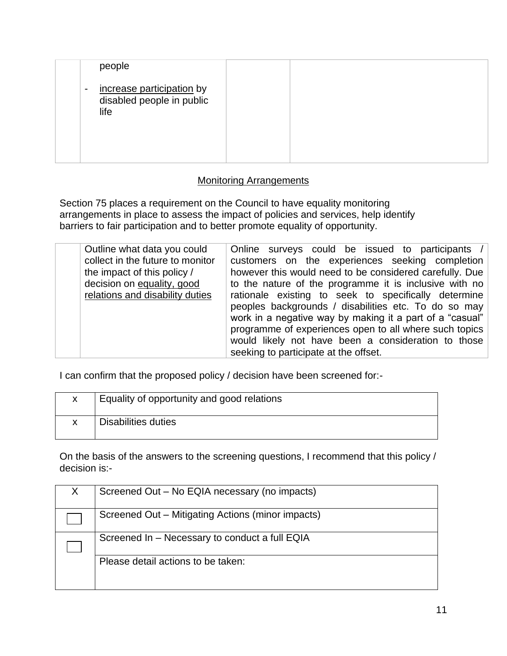| people                                                                                     |  |  |
|--------------------------------------------------------------------------------------------|--|--|
| increase participation by<br>$\overline{\phantom{a}}$<br>disabled people in public<br>life |  |  |
|                                                                                            |  |  |

### Monitoring Arrangements

Section 75 places a requirement on the Council to have equality monitoring arrangements in place to assess the impact of policies and services, help identify barriers to fair participation and to better promote equality of opportunity.

| Outline what data you could<br>collect in the future to monitor<br>the impact of this policy /<br>decision on equality, good<br>relations and disability duties | Online surveys could be issued to participants /<br>customers on the experiences seeking completion<br>however this would need to be considered carefully. Due<br>to the nature of the programme it is inclusive with no<br>rationale existing to seek to specifically determine<br>peoples backgrounds / disabilities etc. To do so may<br>work in a negative way by making it a part of a "casual"<br>programme of experiences open to all where such topics<br>would likely not have been a consideration to those |
|-----------------------------------------------------------------------------------------------------------------------------------------------------------------|-----------------------------------------------------------------------------------------------------------------------------------------------------------------------------------------------------------------------------------------------------------------------------------------------------------------------------------------------------------------------------------------------------------------------------------------------------------------------------------------------------------------------|
|                                                                                                                                                                 | seeking to participate at the offset.                                                                                                                                                                                                                                                                                                                                                                                                                                                                                 |

I can confirm that the proposed policy / decision have been screened for:-

| X  | Equality of opportunity and good relations |
|----|--------------------------------------------|
| X. | Disabilities duties                        |

On the basis of the answers to the screening questions, I recommend that this policy / decision is:-

| X. | Screened Out – No EQIA necessary (no impacts)     |
|----|---------------------------------------------------|
|    | Screened Out – Mitigating Actions (minor impacts) |
|    | Screened In – Necessary to conduct a full EQIA    |
|    | Please detail actions to be taken:                |